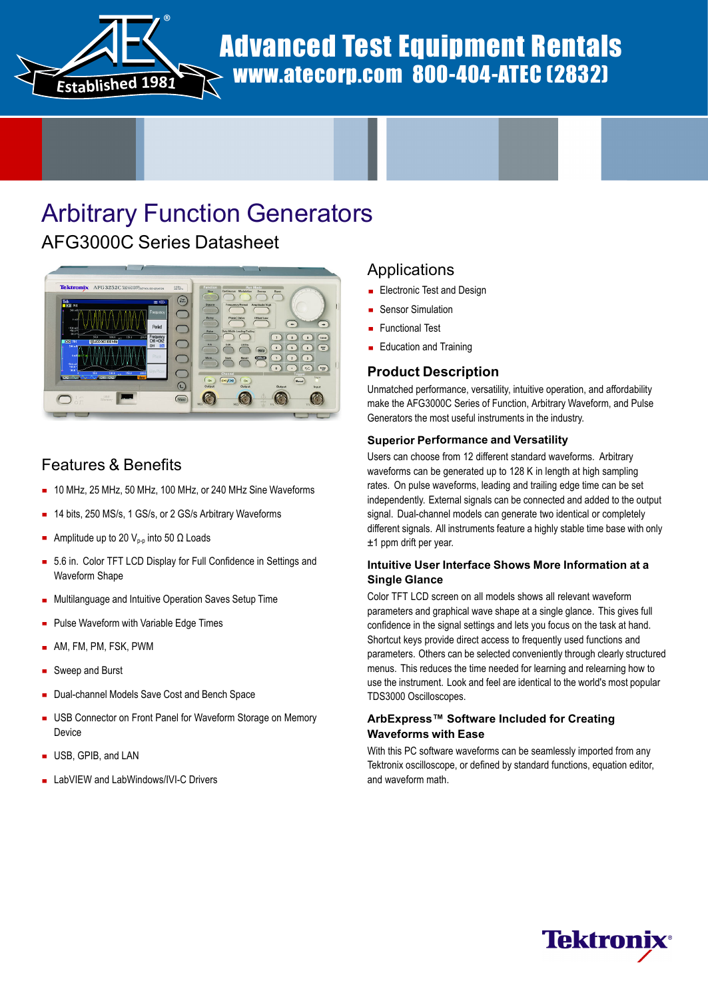

# Advanced Test Equipment Rentals www.atecorp.com 800-404-ATEC (2832)

# Arbitrary Function Generators

### AFG3000C Series Datasheet



### Features & Benefits

- 10 MHz, 25 MHz, 50 MHz, 100 MHz, or 240 MHz Sine Waveforms
- 14 bits, 250 MS/s, 1 GS/s, or 2 GS/s Arbitrary Waveforms
- Amplitude up to 20  $V_{p-p}$  into 50  $\Omega$  Loads
- 5.6 in. Color TFT LCD Display for Full Confidence in Settings and Waveform Shape
- Multilanguage and Intuitive Operation Saves Setup Time  $\blacksquare$
- **Pulse Waveform with Variable Edge Times**
- AM, FM, PM, FSK, PWM
- Sweep and Burst
- Dual-channel Models Save Cost and Bench Space  $\blacksquare$
- **USB Connector on Front Panel for Waveform Storage on Memory** Device
- USB, GPIB, and LAN
- LabVIEW and LabWindows/IVI-C Drivers

### Applications

- **Electronic Test and Design**
- Sensor Simulation
- Functional Test
- **Education and Training**

#### **Product Description**

Unmatched performance, versatility, intuitive operation, and affordability make the AFG3000C Series of Function, Arbitrary Waveform, and Pulse Generators the most useful instruments in the industry.

#### **Superior Performance and Versatility**

Users can choose from 12 different standard waveforms. Arbitrary waveforms can be generated up to 128 K in length at high sampling rates. On pulse waveforms, leading and trailing edge time can be set independently. External signals can be connected and added to the output signal. Dual-channel models can generate two identical or completely different signals. All instruments feature a highly stable time base with only ±1 ppm drift per year.

#### **Intuitive User Interface Shows More Information at a Single Glance**

Color TFT LCD screen on all models shows all relevant waveform parameters and graphical wave shape at a single glance. This gives full confidence in the signal settings and lets you focus on the task at hand. Shortcut keys provide direct access to frequently used functions and parameters. Others can be selected conveniently through clearly structured menus. This reduces the time needed for learning and relearning how to use the instrument. Look and feel are identical to the world's most popular TDS3000 Oscilloscopes.

#### **ArbExpress™ Software Included for Creating Waveforms with Ease**

With this PC software waveforms can be seamlessly imported from any Tektronix oscilloscope, or defined by standard functions, equation editor, and waveform math.

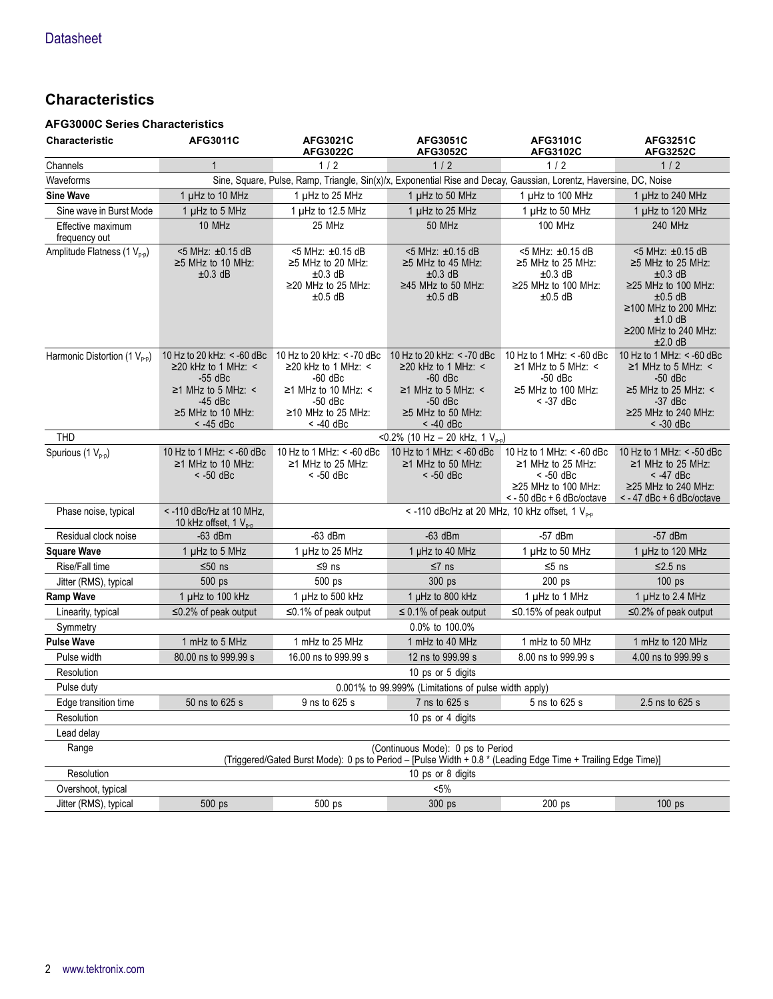### **Characteristics**

#### **AFG3000C Series Characteristics**

| <b>Characteristic</b>                    | AFG3011C                                                                                                                                                | <b>AFG3021C</b><br>AFG3022C                                                                                                                             | <b>AFG3051C</b><br><b>AFG3052C</b>                                                                                                                      | <b>AFG3101C</b><br>AFG3102C                                                                                                 | <b>AFG3251C</b><br><b>AFG3252C</b>                                                                                                                                                         |
|------------------------------------------|---------------------------------------------------------------------------------------------------------------------------------------------------------|---------------------------------------------------------------------------------------------------------------------------------------------------------|---------------------------------------------------------------------------------------------------------------------------------------------------------|-----------------------------------------------------------------------------------------------------------------------------|--------------------------------------------------------------------------------------------------------------------------------------------------------------------------------------------|
| Channels                                 | $\mathbf{1}$                                                                                                                                            | 1/2                                                                                                                                                     | 1/2                                                                                                                                                     | 1/2                                                                                                                         | 1/2                                                                                                                                                                                        |
| Waveforms                                |                                                                                                                                                         | Sine, Square, Pulse, Ramp, Triangle, Sin(x)/x, Exponential Rise and Decay, Gaussian, Lorentz, Haversine, DC, Noise                                      |                                                                                                                                                         |                                                                                                                             |                                                                                                                                                                                            |
| <b>Sine Wave</b>                         | 1 µHz to 10 MHz                                                                                                                                         | 1 µHz to 25 MHz                                                                                                                                         | 1 µHz to 50 MHz                                                                                                                                         | 1 µHz to 100 MHz                                                                                                            | 1 µHz to 240 MHz                                                                                                                                                                           |
| Sine wave in Burst Mode                  | 1 µHz to 5 MHz                                                                                                                                          | 1 µHz to 12.5 MHz                                                                                                                                       | 1 µHz to 25 MHz                                                                                                                                         | 1 µHz to 50 MHz                                                                                                             | 1 µHz to 120 MHz                                                                                                                                                                           |
| Effective maximum<br>frequency out       | 10 MHz                                                                                                                                                  | 25 MHz                                                                                                                                                  | 50 MHz                                                                                                                                                  | <b>100 MHz</b>                                                                                                              | 240 MHz                                                                                                                                                                                    |
| Amplitude Flatness (1 V <sub>p-p</sub> ) | <5 MHz: ±0.15 dB<br>$\geq$ 5 MHz to 10 MHz:<br>$±0.3$ dB                                                                                                | <5 MHz: ±0.15 dB<br>$\geq$ 5 MHz to 20 MHz:<br>$\pm 0.3$ dB<br>$\geq$ 20 MHz to 25 MHz:<br>$±0.5$ dB                                                    | <5 MHz: ±0.15 dB<br>$\geq$ 5 MHz to 45 MHz:<br>$\pm 0.3$ dB<br>$\geq$ 45 MHz to 50 MHz:<br>$±0.5$ dB                                                    | <5 MHz: ±0.15 dB<br>≥5 MHz to 25 MHz:<br>$±0.3$ dB<br>≥25 MHz to 100 MHz:<br>$±0.5$ dB                                      | <5 MHz: ±0.15 dB<br>$\geq$ 5 MHz to 25 MHz:<br>$\pm 0.3$ dB<br>$\geq$ 25 MHz to 100 MHz:<br>$\pm 0.5$ dB<br>$≥100$ MHz to 200 MHz:<br>$±1.0$ dB<br>$\geq$ 200 MHz to 240 MHz:<br>$±2.0$ dB |
| Harmonic Distortion (1 $V_{p-p}$ )       | 10 Hz to 20 kHz: < -60 dBc<br>$\geq$ 20 kHz to 1 MHz: <<br>$-55$ dBc<br>$\geq$ 1 MHz to 5 MHz: <<br>$-45$ dBc<br>$\geq$ 5 MHz to 10 MHz:<br>$<$ -45 dBc | 10 Hz to 20 kHz: < -70 dBc<br>$\geq$ 20 kHz to 1 MHz: <<br>$-60$ dBc<br>$\geq$ 1 MHz to 10 MHz: <<br>-50 dBc<br>$\geq$ 10 MHz to 25 MHz:<br>$<$ -40 dBc | 10 Hz to 20 kHz: < -70 dBc<br>$\geq$ 20 kHz to 1 MHz: <<br>$-60$ dBc<br>$\geq$ 1 MHz to 5 MHz: <<br>$-50$ dBc<br>$\geq$ 5 MHz to 50 MHz:<br>$<$ -40 dBc | 10 Hz to 1 MHz: $<$ -60 dBc<br>$\geq$ 1 MHz to 5 MHz: <<br>$-50$ dBc<br>$\geq$ 5 MHz to 100 MHz:<br>$< -37$ dBc             | 10 Hz to 1 MHz: < -60 dBc<br>$\geq$ 1 MHz to 5 MHz: <<br>$-50$ dBc<br>$\geq$ 5 MHz to 25 MHz: <<br>$-37$ dBc<br>≥25 MHz to 240 MHz:<br>$< -30$ dBc                                         |
| <b>THD</b>                               |                                                                                                                                                         |                                                                                                                                                         | <0.2% (10 Hz - 20 kHz, 1 $V_{p-p}$ )                                                                                                                    |                                                                                                                             |                                                                                                                                                                                            |
| Spurious (1 V <sub>p-p</sub> )           | 10 Hz to 1 MHz: < -60 dBc<br>≥1 MHz to 10 MHz:<br>$< -50$ dBc                                                                                           | 10 Hz to 1 MHz: $<$ -60 dBc<br>$≥1$ MHz to 25 MHz:<br>$<$ -50 dBc                                                                                       | 10 Hz to 1 MHz: $<$ -60 dBc<br>$\geq$ 1 MHz to 50 MHz:<br>$<$ -50 dBc                                                                                   | 10 Hz to 1 MHz: < -60 dBc<br>≥1 MHz to 25 MHz:<br>$<$ -50 dBc<br>$\geq$ 25 MHz to 100 MHz:<br>$\le$ - 50 dBc + 6 dBc/octave | 10 Hz to 1 MHz: $<$ -50 dBc<br>≥1 MHz to 25 MHz:<br>$<$ -47 dBc<br>$≥25$ MHz to 240 MHz:<br>$<$ - 47 dBc + 6 dBc/octave                                                                    |
| Phase noise, typical                     | <- 110 dBc/Hz at 10 MHz,<br>10 kHz offset, $1V_{p,p}$                                                                                                   |                                                                                                                                                         | < -110 dBc/Hz at 20 MHz, 10 kHz offset, 1 V <sub>p-p</sub>                                                                                              |                                                                                                                             |                                                                                                                                                                                            |
| Residual clock noise                     | $-63$ dBm                                                                                                                                               | $-63$ dBm                                                                                                                                               | $-63$ dBm                                                                                                                                               | $-57$ dBm                                                                                                                   | $-57$ dBm                                                                                                                                                                                  |
| <b>Square Wave</b>                       | 1 µHz to 5 MHz                                                                                                                                          | 1 µHz to 25 MHz                                                                                                                                         | 1 µHz to 40 MHz                                                                                                                                         | 1 µHz to 50 MHz                                                                                                             | 1 µHz to 120 MHz                                                                                                                                                                           |
| Rise/Fall time                           | $≤50$ ns                                                                                                                                                | $≤9$ ns                                                                                                                                                 | $≤7$ ns                                                                                                                                                 | $≤ 5$ ns                                                                                                                    | $≤2.5$ ns                                                                                                                                                                                  |
| Jitter (RMS), typical                    | 500 ps                                                                                                                                                  | 500 ps                                                                                                                                                  | 300 ps                                                                                                                                                  | 200 ps                                                                                                                      | 100 <sub>ps</sub>                                                                                                                                                                          |
| <b>Ramp Wave</b>                         | 1 µHz to 100 kHz                                                                                                                                        | 1 µHz to 500 kHz                                                                                                                                        | 1 µHz to 800 kHz                                                                                                                                        | 1 µHz to 1 MHz                                                                                                              | 1 µHz to 2.4 MHz                                                                                                                                                                           |
| Linearity, typical                       | $\leq$ 0.2% of peak output                                                                                                                              | $\leq$ 0.1% of peak output                                                                                                                              | $\leq$ 0.1% of peak output                                                                                                                              | $\leq$ 0.15% of peak output                                                                                                 | $\leq$ 0.2% of peak output                                                                                                                                                                 |
| Symmetry                                 |                                                                                                                                                         |                                                                                                                                                         | 0.0% to 100.0%                                                                                                                                          |                                                                                                                             |                                                                                                                                                                                            |
| <b>Pulse Wave</b>                        | 1 mHz to 5 MHz                                                                                                                                          | 1 mHz to 25 MHz                                                                                                                                         | 1 mHz to 40 MHz                                                                                                                                         | 1 mHz to 50 MHz                                                                                                             | 1 mHz to 120 MHz                                                                                                                                                                           |
| Pulse width                              | 80.00 ns to 999.99 s                                                                                                                                    | 16.00 ns to 999.99 s                                                                                                                                    | 12 ns to 999.99 s                                                                                                                                       | 8.00 ns to 999.99 s                                                                                                         | 4.00 ns to 999.99 s                                                                                                                                                                        |
| Resolution                               |                                                                                                                                                         |                                                                                                                                                         | 10 ps or 5 digits                                                                                                                                       |                                                                                                                             |                                                                                                                                                                                            |
| Pulse duty                               |                                                                                                                                                         |                                                                                                                                                         | 0.001% to 99.999% (Limitations of pulse width apply)                                                                                                    |                                                                                                                             |                                                                                                                                                                                            |
| Edge transition time                     | 50 ns to 625 s                                                                                                                                          | 9 ns to 625 s                                                                                                                                           | 7 ns to 625 s                                                                                                                                           | 5 ns to 625 s                                                                                                               | 2.5 ns to 625 s                                                                                                                                                                            |
| Resolution                               |                                                                                                                                                         |                                                                                                                                                         | 10 ps or 4 digits                                                                                                                                       |                                                                                                                             |                                                                                                                                                                                            |
| Lead delay                               |                                                                                                                                                         |                                                                                                                                                         |                                                                                                                                                         |                                                                                                                             |                                                                                                                                                                                            |
| Range                                    |                                                                                                                                                         | (Triggered/Gated Burst Mode): 0 ps to Period - [Pulse Width + 0.8 * (Leading Edge Time + Trailing Edge Time)]                                           | (Continuous Mode): 0 ps to Period                                                                                                                       |                                                                                                                             |                                                                                                                                                                                            |
| Resolution                               | 10 ps or 8 digits                                                                                                                                       |                                                                                                                                                         |                                                                                                                                                         |                                                                                                                             |                                                                                                                                                                                            |
| Overshoot, typical                       |                                                                                                                                                         |                                                                                                                                                         | $< 5\%$                                                                                                                                                 |                                                                                                                             |                                                                                                                                                                                            |
| Jitter (RMS), typical                    | 500 ps                                                                                                                                                  | 500 ps                                                                                                                                                  | 300 ps                                                                                                                                                  | 200 ps                                                                                                                      | 100 ps                                                                                                                                                                                     |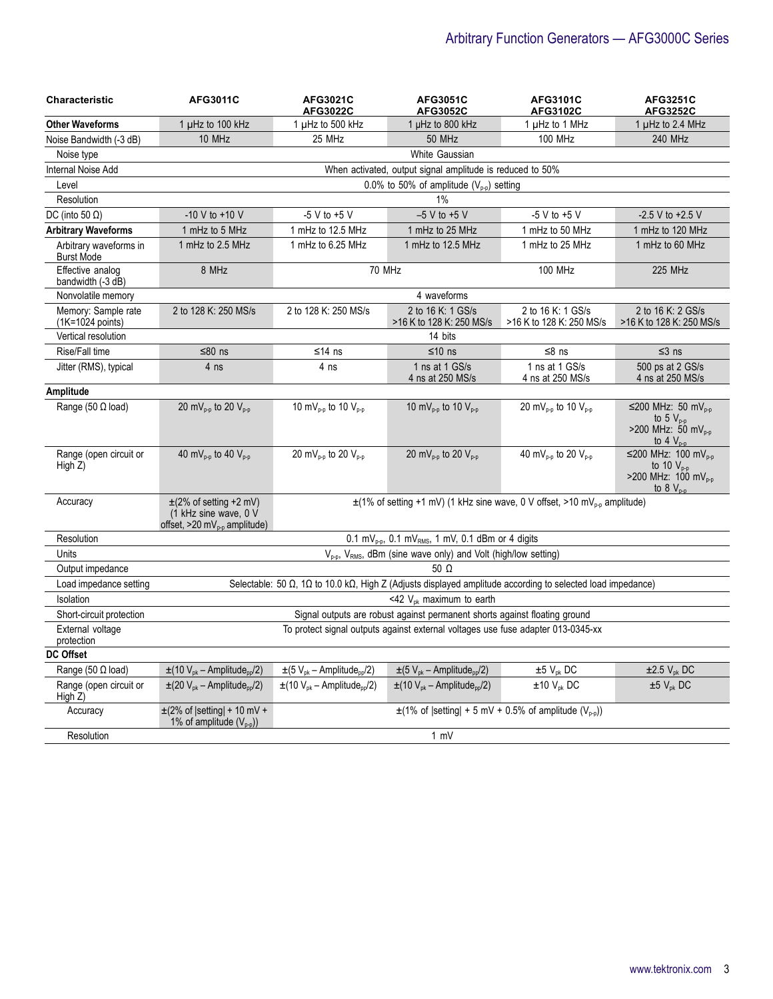## Arbitrary Function Generators — AFG3000C Series

| Characteristic                              | <b>AFG3011C</b>                                                                                    | AFG3021C<br><b>AFG3022C</b>                                                                | AFG3051C<br><b>AFG3052C</b>                                                                                | AFG3101C<br>AFG3102C                          | <b>AFG3251C</b><br><b>AFG3252C</b>                                                                     |
|---------------------------------------------|----------------------------------------------------------------------------------------------------|--------------------------------------------------------------------------------------------|------------------------------------------------------------------------------------------------------------|-----------------------------------------------|--------------------------------------------------------------------------------------------------------|
| <b>Other Waveforms</b>                      | 1 µHz to 100 kHz                                                                                   | 1 µHz to 500 kHz                                                                           | 1 µHz to 800 kHz                                                                                           | 1 µHz to 1 MHz                                | 1 µHz to 2.4 MHz                                                                                       |
| Noise Bandwidth (-3 dB)                     | 10 MHz                                                                                             | 25 MHz                                                                                     | 50 MHz                                                                                                     | <b>100 MHz</b>                                | 240 MHz                                                                                                |
| Noise type                                  |                                                                                                    |                                                                                            | White Gaussian                                                                                             |                                               |                                                                                                        |
| Internal Noise Add                          |                                                                                                    |                                                                                            | When activated, output signal amplitude is reduced to 50%                                                  |                                               |                                                                                                        |
| Level                                       |                                                                                                    |                                                                                            | 0.0% to 50% of amplitude $(V_{p-p})$ setting                                                               |                                               |                                                                                                        |
| Resolution                                  |                                                                                                    |                                                                                            | 1%                                                                                                         |                                               |                                                                                                        |
| DC (into 50 $\Omega$ )                      | $-10 V$ to $+10 V$                                                                                 | $-5$ V to $+5$ V                                                                           | $-5$ V to $+5$ V                                                                                           | $-5$ V to $+5$ V                              | $-2.5$ V to $+2.5$ V                                                                                   |
| <b>Arbitrary Waveforms</b>                  | 1 mHz to 5 MHz                                                                                     | 1 mHz to 12.5 MHz                                                                          | 1 mHz to 25 MHz                                                                                            | 1 mHz to 50 MHz                               | 1 mHz to 120 MHz                                                                                       |
| Arbitrary waveforms in<br><b>Burst Mode</b> | 1 mHz to 2.5 MHz                                                                                   | 1 mHz to 6.25 MHz                                                                          | 1 mHz to 12.5 MHz                                                                                          | 1 mHz to 25 MHz                               | 1 mHz to 60 MHz                                                                                        |
| Effective analog<br>bandwidth (-3 dB)       | 8 MHz                                                                                              |                                                                                            | 70 MHz                                                                                                     | <b>100 MHz</b>                                | 225 MHz                                                                                                |
| Nonvolatile memory                          |                                                                                                    |                                                                                            | 4 waveforms                                                                                                |                                               |                                                                                                        |
| Memory: Sample rate<br>(1K=1024 points)     | 2 to 128 K: 250 MS/s                                                                               | 2 to 128 K: 250 MS/s                                                                       | 2 to 16 K: 1 GS/s<br>>16 K to 128 K: 250 MS/s                                                              | 2 to 16 K: 1 GS/s<br>>16 K to 128 K: 250 MS/s | 2 to 16 K: 2 GS/s<br>>16 K to 128 K: 250 MS/s                                                          |
| Vertical resolution                         |                                                                                                    |                                                                                            | 14 bits                                                                                                    |                                               |                                                                                                        |
| Rise/Fall time                              | ≤80 $ns$                                                                                           | $≤14$ ns                                                                                   | ≤10 ns                                                                                                     | $≤8$ ns                                       | $≤3$ ns                                                                                                |
| Jitter (RMS), typical                       | 4 ns                                                                                               | 4 ns                                                                                       | 1 ns at 1 GS/s<br>4 ns at 250 MS/s                                                                         | 1 ns at 1 GS/s<br>4 ns at 250 MS/s            | 500 ps at 2 GS/s<br>4 ns at 250 MS/s                                                                   |
| Amplitude                                   |                                                                                                    |                                                                                            |                                                                                                            |                                               |                                                                                                        |
| Range (50 $\Omega$ load)                    | 20 mV <sub>p-p</sub> to 20 V <sub>p-p</sub>                                                        | 10 m $V_{p-p}$ to 10 $V_{p-p}$                                                             | 10 m $V_{p-p}$ to 10 $V_{p-p}$                                                                             | 20 mV <sub>p-p</sub> to 10 V <sub>p-p</sub>   | ≤200 MHz: 50 mV <sub>p-p</sub><br>to 5 $V_{p-p}$<br>>200 MHz: 50 mV <sub>p-p</sub><br>to $4V_{p-p}$    |
| Range (open circuit or<br>High $Z$ )        | 40 mV <sub>p-p</sub> to 40 V <sub>p-p</sub>                                                        | 20 mV <sub>p-p</sub> to 20 V <sub>p-p</sub>                                                | 20 mV <sub>p-p</sub> to 20 V <sub>p-p</sub>                                                                | 40 mV <sub>p-p</sub> to 20 V <sub>p-p</sub>   | ≤200 MHz: 100 mV <sub>0-0</sub><br>to 10 $V_{p-p}$<br>>200 MHz: 100 mV <sub>p-p</sub><br>to $8V_{n-n}$ |
| Accuracy                                    | $\pm$ (2% of setting +2 mV)<br>(1 kHz sine wave, 0 V<br>offset, $>20$ mV <sub>p-p</sub> amplitude) | $\pm$ (1% of setting +1 mV) (1 kHz sine wave, 0 V offset, >10 mV <sub>p-p</sub> amplitude) |                                                                                                            |                                               |                                                                                                        |
| Resolution                                  |                                                                                                    |                                                                                            | $0.1 \text{ mV}_{\text{p-p}}$ , $0.1 \text{ mV}_{\text{RMS}}$ , 1 mV, 0.1 dBm or 4 digits                  |                                               |                                                                                                        |
| Units                                       |                                                                                                    |                                                                                            | V <sub>p-p</sub> , V <sub>RMS</sub> , dBm (sine wave only) and Volt (high/low setting)                     |                                               |                                                                                                        |
| Output impedance                            |                                                                                                    |                                                                                            | 50 $\Omega$                                                                                                |                                               |                                                                                                        |
| Load impedance setting                      |                                                                                                    |                                                                                            | Selectable: 50 Ω, 1Ω to 10.0 kΩ, High Z (Adjusts displayed amplitude according to selected load impedance) |                                               |                                                                                                        |
| Isolation                                   |                                                                                                    |                                                                                            | <42 $V_{\text{ok}}$ maximum to earth                                                                       |                                               |                                                                                                        |
| Short-circuit protection                    |                                                                                                    |                                                                                            | Signal outputs are robust against permanent shorts against floating ground                                 |                                               |                                                                                                        |
| External voltage<br>protection              | To protect signal outputs against external voltages use fuse adapter 013-0345-xx                   |                                                                                            |                                                                                                            |                                               |                                                                                                        |
| <b>DC Offset</b>                            |                                                                                                    |                                                                                            |                                                                                                            |                                               |                                                                                                        |
| Range (50 $\Omega$ load)                    | $\pm$ (10 V <sub>pk</sub> – Amplitude <sub>pp</sub> /2)                                            | $\pm$ (5 V <sub>pk</sub> – Amplitude <sub>pp</sub> /2)                                     | $\pm (5 V_{\rm pk} -$ Amplitude <sub>pp</sub> /2)                                                          | $±5 V_{pk} DC$                                | $\pm 2.5$ V <sub>pk</sub> DC                                                                           |
| Range (open circuit or<br>High Z)           | $\pm$ (20 V <sub>pk</sub> – Amplitude <sub>pp</sub> /2)                                            | $\pm$ (10 V <sub>pk</sub> – Amplitude <sub>pp</sub> /2)                                    | $\pm$ (10 V <sub>pk</sub> – Amplitude <sub>pp</sub> /2)                                                    | $±10 V_{pk}$ DC                               | $±5 V_{pk} DC$                                                                                         |
| Accuracy                                    | $\pm$ (2% of  setting  + 10 mV +<br>1% of amplitude $(V_{p-p})$                                    | $\pm$ (1% of  setting  + 5 mV + 0.5% of amplitude (V <sub>p-p</sub> ))                     |                                                                                                            |                                               |                                                                                                        |
| Resolution                                  | 1 mV                                                                                               |                                                                                            |                                                                                                            |                                               |                                                                                                        |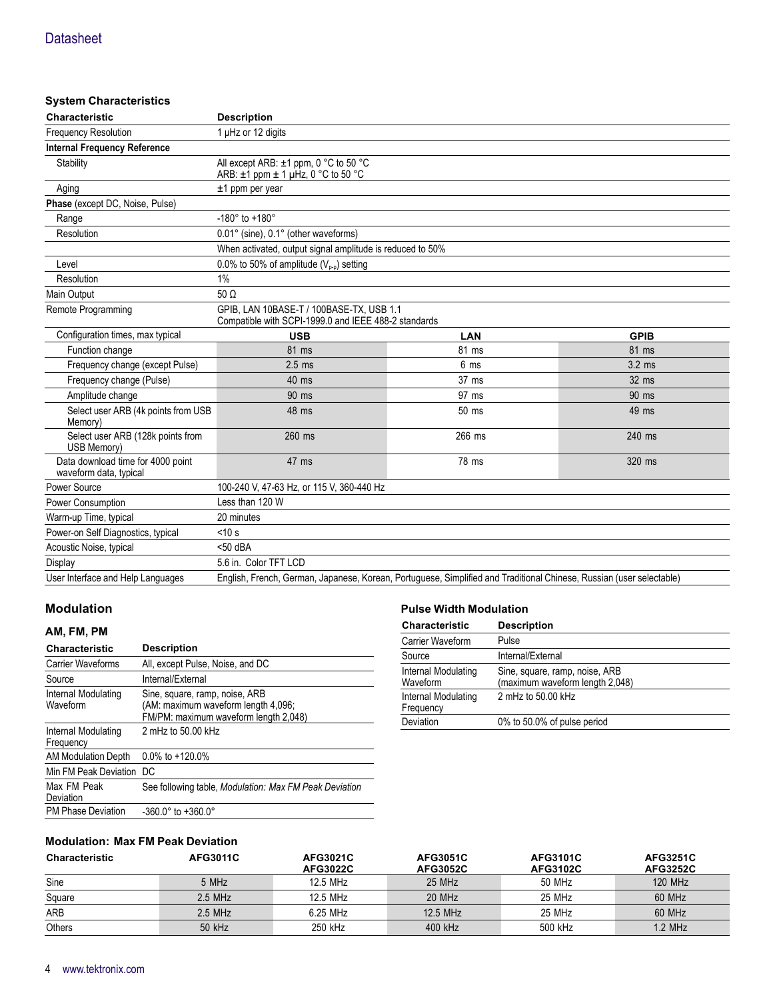#### **System Characteristics**

| Characteristic                                              | <b>Description</b>                                                                                                   |         |             |  |
|-------------------------------------------------------------|----------------------------------------------------------------------------------------------------------------------|---------|-------------|--|
| <b>Frequency Resolution</b>                                 | 1 µHz or 12 digits                                                                                                   |         |             |  |
| <b>Internal Frequency Reference</b>                         |                                                                                                                      |         |             |  |
| Stability                                                   | All except ARB: $\pm$ 1 ppm, 0 °C to 50 °C<br>ARB: $\pm$ 1 ppm $\pm$ 1 µHz, 0 °C to 50 °C                            |         |             |  |
| Aging                                                       | $±1$ ppm per year                                                                                                    |         |             |  |
| Phase (except DC, Noise, Pulse)                             |                                                                                                                      |         |             |  |
| Range                                                       | $-180^{\circ}$ to $+180^{\circ}$                                                                                     |         |             |  |
| Resolution                                                  | 0.01° (sine), 0.1° (other waveforms)                                                                                 |         |             |  |
|                                                             | When activated, output signal amplitude is reduced to 50%                                                            |         |             |  |
| Level                                                       | 0.0% to 50% of amplitude $(V_{p-p})$ setting                                                                         |         |             |  |
| Resolution                                                  | 1%                                                                                                                   |         |             |  |
| Main Output                                                 | $50 \Omega$                                                                                                          |         |             |  |
| Remote Programming                                          | GPIB, LAN 10BASE-T / 100BASE-TX, USB 1.1<br>Compatible with SCPI-1999.0 and IEEE 488-2 standards                     |         |             |  |
| Configuration times, max typical                            | <b>USB</b>                                                                                                           | LAN     | <b>GPIB</b> |  |
| Function change                                             | 81 ms                                                                                                                | 81 ms   | 81 ms       |  |
| Frequency change (except Pulse)                             | 6 <sub>ms</sub><br>$3.2 \text{ ms}$<br>$2.5$ ms                                                                      |         |             |  |
| Frequency change (Pulse)                                    | $40$ ms<br>$37 \text{ ms}$<br>32 ms                                                                                  |         |             |  |
| Amplitude change                                            | 90 ms                                                                                                                | 97 ms   | 90 ms       |  |
| Select user ARB (4k points from USB<br>Memory)              | 48 ms                                                                                                                | $50$ ms | 49 ms       |  |
| Select user ARB (128k points from<br>USB Memory)            | 260 ms                                                                                                               | 266 ms  | 240 ms      |  |
| Data download time for 4000 point<br>waveform data, typical | 78 ms<br>47 ms<br>320 ms                                                                                             |         |             |  |
| Power Source                                                | 100-240 V, 47-63 Hz, or 115 V, 360-440 Hz                                                                            |         |             |  |
| Power Consumption                                           | Less than 120 W                                                                                                      |         |             |  |
| Warm-up Time, typical                                       | 20 minutes                                                                                                           |         |             |  |
| Power-on Self Diagnostics, typical                          | $<$ 10 s                                                                                                             |         |             |  |
| Acoustic Noise, typical                                     | $<$ 50 dBA                                                                                                           |         |             |  |
| Display                                                     | 5.6 in. Color TFT LCD                                                                                                |         |             |  |
| User Interface and Help Languages                           | English, French, German, Japanese, Korean, Portuguese, Simplified and Traditional Chinese, Russian (user selectable) |         |             |  |

#### **Modulation**

#### **AM, FM, PM**

| <b>Characteristic</b>            | <b>Description</b>                                                                                             |
|----------------------------------|----------------------------------------------------------------------------------------------------------------|
| <b>Carrier Waveforms</b>         | All, except Pulse, Noise, and DC                                                                               |
| Source                           | Internal/External                                                                                              |
| Internal Modulating<br>Waveform  | Sine, square, ramp, noise, ARB<br>(AM: maximum waveform length 4,096;<br>FM/PM: maximum waveform length 2,048) |
| Internal Modulating<br>Frequency | 2 mHz to 50.00 kHz                                                                                             |
| AM Modulation Depth              | $0.0\%$ to $+120.0\%$                                                                                          |
| Min FM Peak Deviation DC         |                                                                                                                |
| Max FM Peak<br>Deviation         | See following table, Modulation: Max FM Peak Deviation                                                         |
| <b>PM Phase Deviation</b>        | $-360.0^{\circ}$ to $+360.0^{\circ}$                                                                           |

#### **Pulse Width Modulation**

| <b>Characteristic</b>            | <b>Description</b>                                                |
|----------------------------------|-------------------------------------------------------------------|
| Carrier Waveform                 | Pulse                                                             |
| Source                           | Internal/External                                                 |
| Internal Modulating<br>Waveform  | Sine, square, ramp, noise, ARB<br>(maximum waveform length 2,048) |
| Internal Modulating<br>Frequency | 2 mHz to 50.00 kHz                                                |
| Deviation                        | 0% to 50.0% of pulse period                                       |

#### **Modulation: Max FM Peak Deviation**

| <b>Characteristic</b> | <b>AFG3011C</b> | <b>AFG3021C</b><br><b>AFG3022C</b> | <b>AFG3051C</b><br><b>AFG3052C</b> | <b>AFG3101C</b><br><b>AFG3102C</b> | <b>AFG3251C</b><br><b>AFG3252C</b> |
|-----------------------|-----------------|------------------------------------|------------------------------------|------------------------------------|------------------------------------|
| Sine                  | 5 MHz           | 12.5 MHz                           | 25 MHz                             | 50 MHz                             | 120 MHz                            |
| Square                | $2.5$ MHz       | 12.5 MHz                           | 20 MHz                             | 25 MHz                             | 60 MHz                             |
| ARB                   | $2.5$ MHz       | 6.25 MHz                           | 12.5 MHz                           | 25 MHz                             | 60 MHz                             |
| Others                | 50 kHz          | 250 kHz                            | 400 kHz                            | 500 kHz                            | $1.2$ MHz                          |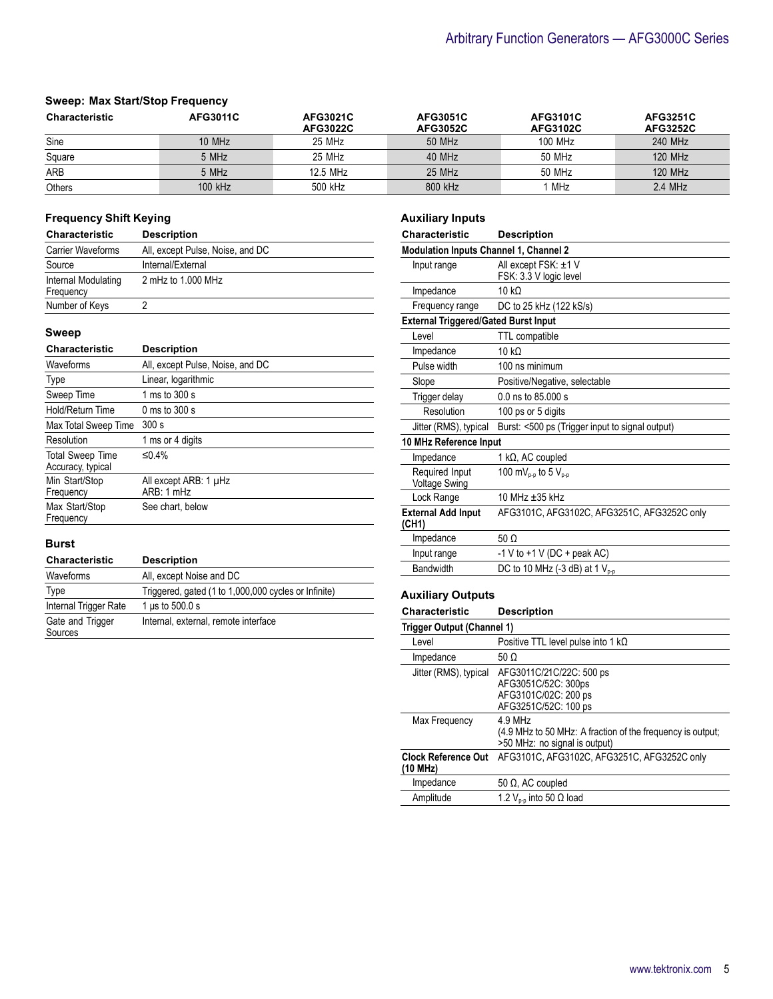#### **Sweep: Max Start/Stop Frequency**

| <b>Characteristic</b> | <b>AFG3011C</b> | <b>AFG3021C</b><br><b>AFG3022C</b> | <b>AFG3051C</b><br><b>AFG3052C</b> | <b>AFG3101C</b><br><b>AFG3102C</b> | <b>AFG3251C</b><br><b>AFG3252C</b> |
|-----------------------|-----------------|------------------------------------|------------------------------------|------------------------------------|------------------------------------|
| Sine                  | $10$ MHz        | 25 MHz                             | 50 MHz                             | 100 MHz                            | 240 MHz                            |
| Square                | 5 MHz           | 25 MHz                             | 40 MHz                             | 50 MHz                             | 120 MHz                            |
| ARB                   | 5 MHz           | 12.5 MHz                           | $25$ MHz                           | 50 MHz                             | <b>120 MHz</b>                     |
| Others                | 100 kHz         | 500 kHz                            | 800 kHz                            | MHz                                | $2.4$ MHz                          |

#### **Frequency Shift Keying**

| <b>Characteristic</b>            | <b>Description</b>               |
|----------------------------------|----------------------------------|
| <b>Carrier Waveforms</b>         | All, except Pulse, Noise, and DC |
| Source                           | Internal/External                |
| Internal Modulating<br>Frequency | 2 mHz to 1,000 MHz               |
| Number of Keys                   |                                  |

#### **Sweep**

| <b>Characteristic</b>                        | <b>Description</b>                  |
|----------------------------------------------|-------------------------------------|
| Waveforms                                    | All, except Pulse, Noise, and DC    |
| Type                                         | Linear, logarithmic                 |
| Sweep Time                                   | 1 ms to 300 s                       |
| Hold/Return Time                             | 0 ms to 300 s                       |
| Max Total Sweep Time                         | 300 s                               |
| Resolution                                   | 1 ms or 4 digits                    |
| <b>Total Sweep Time</b><br>Accuracy, typical | $\leq$ 4%                           |
| Min Start/Stop<br>Frequency                  | All except ARB: 1 µHz<br>ARB: 1 mHz |
| Max Start/Stop<br>Frequency                  | See chart, below                    |

#### **Burst**

| <b>Characteristic</b>       | <b>Description</b>                                   |
|-----------------------------|------------------------------------------------------|
| Waveforms                   | All, except Noise and DC                             |
| Type                        | Triggered, gated (1 to 1,000,000 cycles or Infinite) |
| Internal Trigger Rate       | 1 $\mu$ s to 500.0 s                                 |
| Gate and Trigger<br>Sources | Internal, external, remote interface                 |

#### **Auxiliary Inputs**

| Characteristic                                | <b>Description</b>                              |  |  |
|-----------------------------------------------|-------------------------------------------------|--|--|
| <b>Modulation Inputs Channel 1, Channel 2</b> |                                                 |  |  |
| Input range                                   | All except FSK: ±1 V<br>FSK: 3.3 V logic level  |  |  |
| Impedance                                     | 10 kO                                           |  |  |
| Frequency range                               | DC to 25 kHz (122 kS/s)                         |  |  |
| <b>External Triggered/Gated Burst Input</b>   |                                                 |  |  |
| Level                                         | <b>TTL</b> compatible                           |  |  |
| Impedance                                     | 10 $k\Omega$                                    |  |  |
| Pulse width                                   | 100 ns minimum                                  |  |  |
| Slope                                         | Positive/Negative, selectable                   |  |  |
| Trigger delay                                 | 0.0 ns to 85,000 s                              |  |  |
| Resolution                                    | 100 ps or 5 digits                              |  |  |
| Jitter (RMS), typical                         | Burst: <500 ps (Trigger input to signal output) |  |  |
| 10 MHz Reference Input                        |                                                 |  |  |
| Impedance                                     | 1 k $\Omega$ , AC coupled                       |  |  |
| Required Input<br><b>Voltage Swing</b>        | 100 mV <sub>p-p</sub> to 5 V <sub>p-p</sub>     |  |  |
| Lock Range                                    | 10 MHz ±35 kHz                                  |  |  |
| <b>External Add Input</b><br>(CH1)            | AFG3101C, AFG3102C, AFG3251C, AFG3252C only     |  |  |
| Impedance                                     | $50 \Omega$                                     |  |  |
| Input range                                   | -1 V to +1 V (DC + peak AC)                     |  |  |
| Bandwidth                                     | DC to 10 MHz (-3 dB) at 1 V <sub>p-p</sub>      |  |  |
|                                               |                                                 |  |  |

#### **Auxiliary Outputs**

| <b>Characteristic</b>                  | <b>Description</b>                                                                                       |
|----------------------------------------|----------------------------------------------------------------------------------------------------------|
| Trigger Output (Channel 1)             |                                                                                                          |
| Level                                  | Positive TTL level pulse into 1 $k\Omega$                                                                |
| Impedance                              | 50 $\Omega$                                                                                              |
| Jitter (RMS), typical                  | AFG3011C/21C/22C: 500 ps<br>AFG3051C/52C: 300ps<br>AFG3101C/02C: 200 ps<br>AFG3251C/52C: 100 ps          |
| Max Frequency                          | $4.9$ MHz<br>(4.9 MHz to 50 MHz: A fraction of the frequency is output;<br>>50 MHz: no signal is output) |
| <b>Clock Reference Out</b><br>(10 MHz) | AFG3101C, AFG3102C, AFG3251C, AFG3252C only                                                              |
| Impedance                              | 50 Ω, AC coupled                                                                                         |
| Amplitude                              | 1.2 $V_{n,n}$ into 50 $\Omega$ load                                                                      |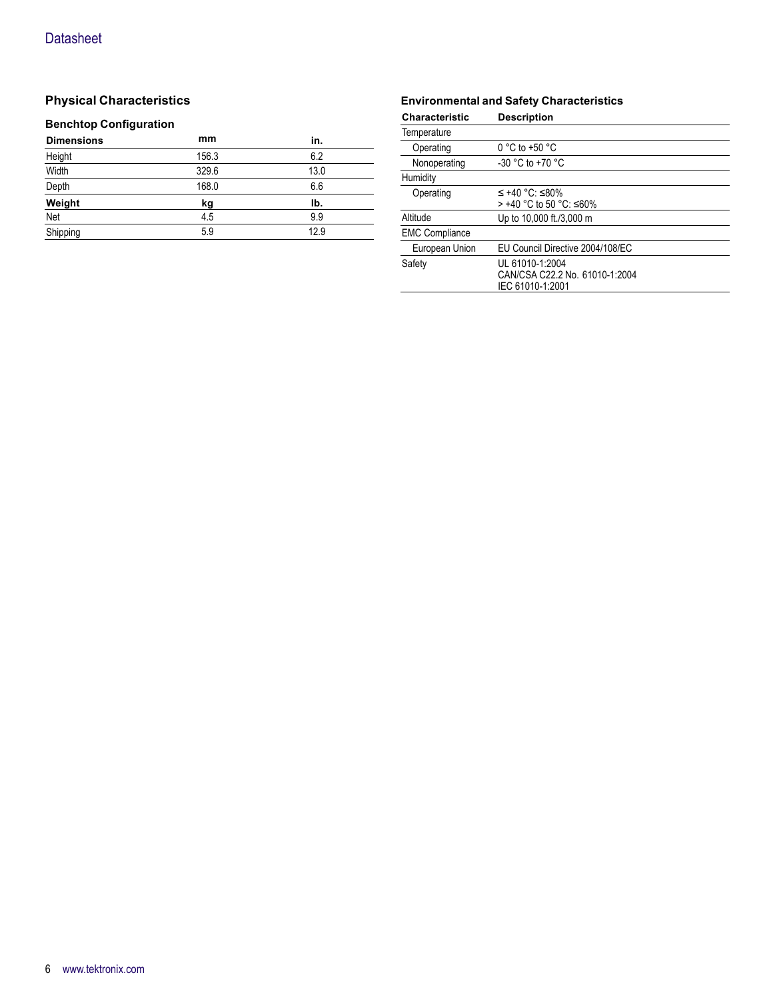### **Physical Characteristics**

#### **Benchtop Configuration**

| mm    | in.  |
|-------|------|
| 156.3 | 6.2  |
| 329.6 | 13.0 |
| 168.0 | 6.6  |
| kg    | Ib.  |
| 4.5   | 9.9  |
| 5.9   | 12.9 |
|       |      |

#### **Environmental and Safety Characteristics**

| <b>Characteristic</b> | <b>Description</b>                                                    |
|-----------------------|-----------------------------------------------------------------------|
| Temperature           |                                                                       |
| Operating             | $0 °C$ to +50 $°C$                                                    |
| Nonoperating          | $-30$ °C to $+70$ °C                                                  |
| Humidity              |                                                                       |
| Operating             | $\leq$ +40 °C: ≤80%<br>> +40 °C to 50 °C: ≤60%                        |
| Altitude              | Up to 10,000 ft./3,000 m                                              |
| <b>EMC Compliance</b> |                                                                       |
| European Union        | EU Council Directive 2004/108/EC                                      |
| Safety                | UL 61010-1:2004<br>CAN/CSA C22.2 No. 61010-1:2004<br>IEC 61010-1:2001 |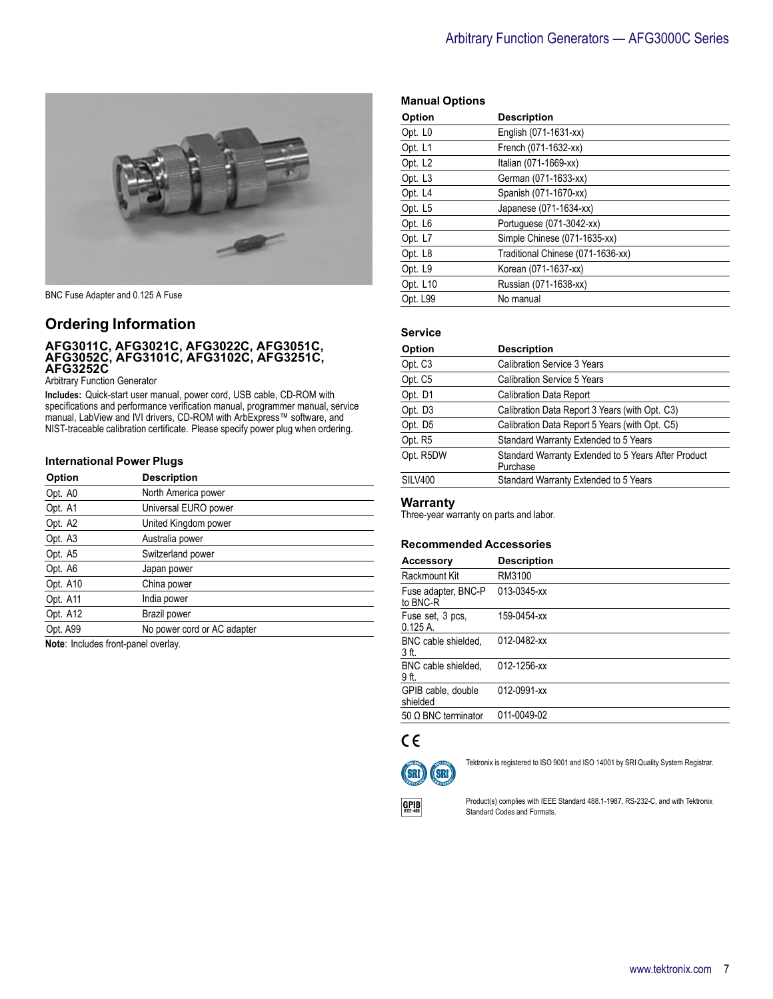

BNC Fuse Adapter and 0.125 A Fuse

#### **Ordering Information**

#### **AFG3011C, AFG3021C, AFG3022C, AFG3051C, AFG3052C, AFG3101C, AFG3102C, AFG3251C, AFG3252C**

Arbitrary Function Generator

**Includes:** Quick-start user manual, power cord, USB cable, CD-ROM with specifications and performance verification manual, programmer manual, service manual, LabView and IVI drivers, CD-ROM with ArbExpress™ software, and NIST-traceable calibration certificate. Please specify power plug when ordering.

#### **International Power Plugs**

| Option   | <b>Description</b>          |
|----------|-----------------------------|
| Opt. A0  | North America power         |
| Opt. A1  | Universal EURO power        |
| Opt. A2  | United Kingdom power        |
| Opt. A3  | Australia power             |
| Opt. A5  | Switzerland power           |
| Opt. A6  | Japan power                 |
| Opt. A10 | China power                 |
| Opt. A11 | India power                 |
| Opt. A12 | Brazil power                |
| Opt. A99 | No power cord or AC adapter |

**Note**: Includes front-panel overlay.

|  | <b>Manual Options</b> |
|--|-----------------------|
|--|-----------------------|

| Option              | <b>Description</b>                |
|---------------------|-----------------------------------|
| Opt. L <sub>0</sub> | English (071-1631-xx)             |
| Opt. L1             | French (071-1632-xx)              |
| Opt. L <sub>2</sub> | Italian (071-1669-xx)             |
| Opt. L <sub>3</sub> | German (071-1633-xx)              |
| Opt. L4             | Spanish (071-1670-xx)             |
| Opt. L5             | Japanese (071-1634-xx)            |
| Opt. L6             | Portuguese (071-3042-xx)          |
| Opt. L7             | Simple Chinese (071-1635-xx)      |
| Opt. L8             | Traditional Chinese (071-1636-xx) |
| Opt. L9             | Korean (071-1637-xx)              |
| Opt. L10            | Russian (071-1638-xx)             |
| Opt. L99            | No manual                         |

#### **Service**

| Option    | <b>Description</b>                                              |
|-----------|-----------------------------------------------------------------|
| Opt. C3   | <b>Calibration Service 3 Years</b>                              |
| Opt. C5   | <b>Calibration Service 5 Years</b>                              |
| Opt. D1   | <b>Calibration Data Report</b>                                  |
| Opt. D3   | Calibration Data Report 3 Years (with Opt. C3)                  |
| Opt. D5   | Calibration Data Report 5 Years (with Opt. C5)                  |
| Opt. R5   | Standard Warranty Extended to 5 Years                           |
| Opt. R5DW | Standard Warranty Extended to 5 Years After Product<br>Purchase |
| SILV400   | Standard Warranty Extended to 5 Years                           |

#### **Warranty**

Three-year warranty on parts and labor.

#### **Recommended Accessories**

| Accessory                       | <b>Description</b> |
|---------------------------------|--------------------|
| Rackmount Kit                   | RM3100             |
| Fuse adapter, BNC-P<br>to BNC-R | 013-0345-xx        |
| Fuse set, 3 pcs,<br>$0.125A$ .  | 159-0454-xx        |
| BNC cable shielded.<br>3 ft.    | 012-0482-xx        |
| BNC cable shielded.<br>9 ft.    | 012-1256-xx        |
| GPIB cable, double<br>shielded  | 012-0991-xx        |
| 50 $\Omega$ BNC terminator      | 011-0049-02        |

### $C \in$



Tektronix is registered to ISO 9001 and ISO 14001 by SRI Quality System Registrar.



Product(s) complies with IEEE Standard 488.1-1987, RS-232-C, and with Tektronix Standard Codes and Formats.